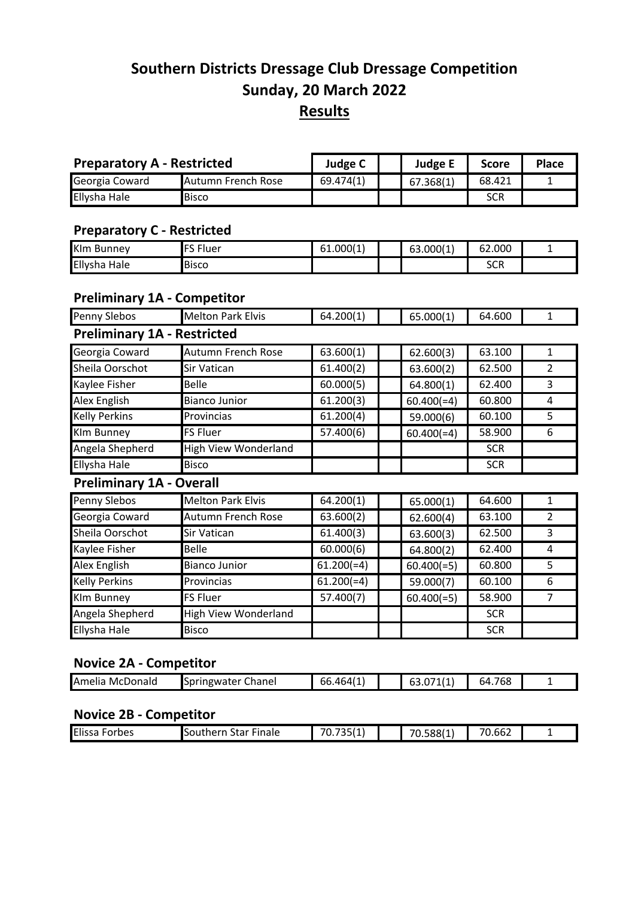# **Southern Districts Dressage Club Dressage Competition Sunday, 20 March 2022 Results**

| <b>Preparatory A - Restricted</b> |                    | Judge C   | <b>Judge E</b> | <b>Score</b> | <b>Place</b> |
|-----------------------------------|--------------------|-----------|----------------|--------------|--------------|
| Georgia Coward                    | Autumn French Rose | 69.474(1) | 67.368(1)      | 68.421       |              |
| Ellysha Hale                      | <b>Bisco</b>       |           |                | <b>SCR</b>   |              |

#### **Preparatory C - Restricted**

| <b>KIm Bunney</b> | - 1<br>$\Gamma$<br>luer | 61.000(1 | 63.000(1) | 62.000     |  |
|-------------------|-------------------------|----------|-----------|------------|--|
| Ellysha<br>Hale   | <b>Bisco</b>            |          |           | ccn<br>っしゃ |  |

#### **Preliminary 1A - Competitor**

| Penny Slebos                       | <b>Melton Park Elvis</b>    | 64.200(1)               | 65.000(1)    | 64.600     | 1              |
|------------------------------------|-----------------------------|-------------------------|--------------|------------|----------------|
| <b>Preliminary 1A - Restricted</b> |                             |                         |              |            |                |
| Georgia Coward                     | Autumn French Rose          | 63.600(1)               | 62.600(3)    | 63.100     | 1              |
| Sheila Oorschot                    | Sir Vatican                 | 61.400(2)               | 63.600(2)    | 62.500     | $\overline{2}$ |
| Kaylee Fisher                      | <b>Belle</b>                | 60.000(5)               | 64.800(1)    | 62.400     | 3              |
| Alex English                       | <b>Bianco Junior</b>        | 61.200(3)               | $60.400(=4)$ | 60.800     | 4              |
| <b>Kelly Perkins</b>               | Provincias                  | 61.200(4)               | 59.000(6)    | 60.100     | 5              |
| Klm Bunney                         | <b>FS Fluer</b>             | 57.400(6)               | $60.400(=4)$ | 58.900     | 6              |
| Angela Shepherd                    | High View Wonderland        |                         |              | <b>SCR</b> |                |
| Ellysha Hale                       | <b>Bisco</b>                |                         |              | <b>SCR</b> |                |
| <b>Preliminary 1A - Overall</b>    |                             |                         |              |            |                |
| Penny Slebos                       | <b>Melton Park Elvis</b>    | $\overline{6}$ 4.200(1) | 65.000(1)    | 64.600     | 1              |
| Georgia Coward                     | Autumn French Rose          | 63.600(2)               | 62.600(4)    | 63.100     | 2              |
| Sheila Oorschot                    | Sir Vatican                 | 61.400(3)               | 63.600(3)    | 62.500     | 3              |
| Kaylee Fisher                      | Belle                       | 60.000(6)               | 64.800(2)    | 62.400     | 4              |
| Alex English                       | <b>Bianco Junior</b>        | $61.200 (=4)$           | $60.400(=5)$ | 60.800     | 5              |
| <b>Kelly Perkins</b>               | Provincias                  | $61.200 (=4)$           | 59.000(7)    | 60.100     | 6              |
| Klm Bunney                         | <b>FS Fluer</b>             | 57.400(7)               | $60.400(=5)$ | 58.900     | 7              |
| Angela Shepherd                    | <b>High View Wonderland</b> |                         |              | <b>SCR</b> |                |
| Ellysha Hale                       | <b>Bisco</b>                |                         |              | <b>SCR</b> |                |

#### **Novice 2A - Competitor**

| <b>Amelia</b><br>McDonald | . <i>.</i><br>Chanel<br>'W~l<br>. | 4641°،<br>bb.<br>. | . | $-0o$<br>768<br>64 |  |
|---------------------------|-----------------------------------|--------------------|---|--------------------|--|
|                           |                                   |                    |   |                    |  |

#### **Novice 2B - Competitor**

| Elissa<br>orbes· | Linale<br>----<br>Star<br>suuue | 70 F <i>LA</i><br>- -<br>⊥ ا⊂<br>. . | 70.588(1 | $\sim$ $\sim$ $\sim$<br>--<br>′U.bb∠ |  |
|------------------|---------------------------------|--------------------------------------|----------|--------------------------------------|--|
|                  |                                 |                                      |          |                                      |  |